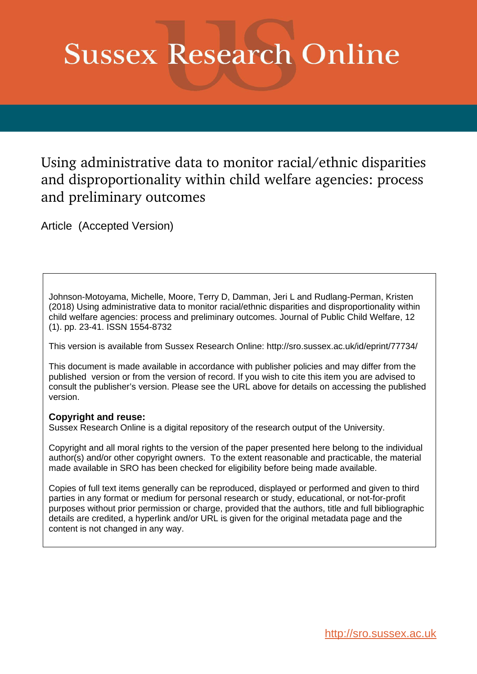# **Sussex Research Online**

# Using administrative data to monitor racial/ethnic disparities and disproportionality within child welfare agencies: process and preliminary outcomes

Article (Accepted Version)

Johnson-Motoyama, Michelle, Moore, Terry D, Damman, Jeri L and Rudlang-Perman, Kristen (2018) Using administrative data to monitor racial/ethnic disparities and disproportionality within child welfare agencies: process and preliminary outcomes. Journal of Public Child Welfare, 12 (1). pp. 23-41. ISSN 1554-8732

This version is available from Sussex Research Online: http://sro.sussex.ac.uk/id/eprint/77734/

This document is made available in accordance with publisher policies and may differ from the published version or from the version of record. If you wish to cite this item you are advised to consult the publisher's version. Please see the URL above for details on accessing the published version.

## **Copyright and reuse:**

Sussex Research Online is a digital repository of the research output of the University.

Copyright and all moral rights to the version of the paper presented here belong to the individual author(s) and/or other copyright owners. To the extent reasonable and practicable, the material made available in SRO has been checked for eligibility before being made available.

Copies of full text items generally can be reproduced, displayed or performed and given to third parties in any format or medium for personal research or study, educational, or not-for-profit purposes without prior permission or charge, provided that the authors, title and full bibliographic details are credited, a hyperlink and/or URL is given for the original metadata page and the content is not changed in any way.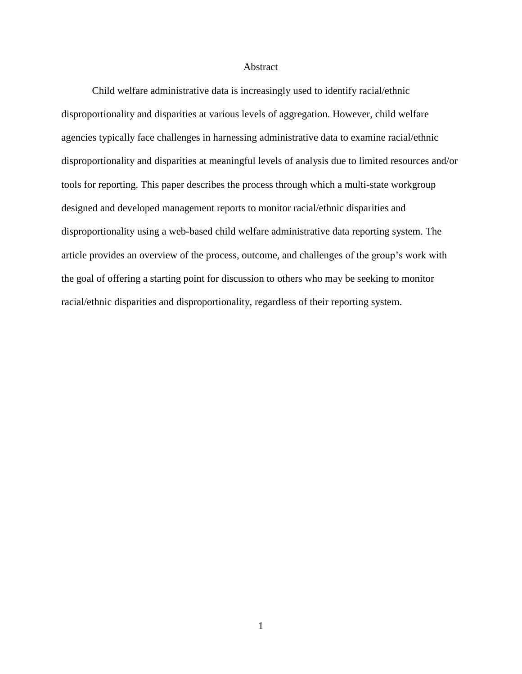#### Abstract

Child welfare administrative data is increasingly used to identify racial/ethnic disproportionality and disparities at various levels of aggregation. However, child welfare agencies typically face challenges in harnessing administrative data to examine racial/ethnic disproportionality and disparities at meaningful levels of analysis due to limited resources and/or tools for reporting. This paper describes the process through which a multi-state workgroup designed and developed management reports to monitor racial/ethnic disparities and disproportionality using a web-based child welfare administrative data reporting system. The article provides an overview of the process, outcome, and challenges of the group's work with the goal of offering a starting point for discussion to others who may be seeking to monitor racial/ethnic disparities and disproportionality, regardless of their reporting system.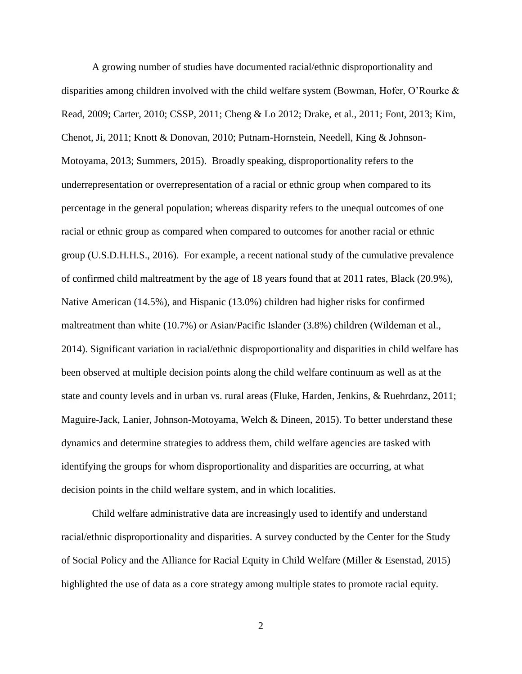A growing number of studies have documented racial/ethnic disproportionality and disparities among children involved with the child welfare system (Bowman, Hofer, O'Rourke & Read, 2009; Carter, 2010; CSSP, 2011; Cheng & Lo 2012; Drake, et al., 2011; Font, 2013; Kim, Chenot, Ji, 2011; Knott & Donovan, 2010; Putnam-Hornstein, Needell, King & Johnson-Motoyama, 2013; Summers, 2015). Broadly speaking, disproportionality refers to the underrepresentation or overrepresentation of a racial or ethnic group when compared to its percentage in the general population; whereas disparity refers to the unequal outcomes of one racial or ethnic group as compared when compared to outcomes for another racial or ethnic group (U.S.D.H.H.S., 2016). For example, a recent national study of the cumulative prevalence of confirmed child maltreatment by the age of 18 years found that at 2011 rates, Black (20.9%), Native American (14.5%), and Hispanic (13.0%) children had higher risks for confirmed maltreatment than white (10.7%) or Asian/Pacific Islander (3.8%) children (Wildeman et al., 2014). Significant variation in racial/ethnic disproportionality and disparities in child welfare has been observed at multiple decision points along the child welfare continuum as well as at the state and county levels and in urban vs. rural areas (Fluke, Harden, Jenkins, & Ruehrdanz, 2011; Maguire-Jack, Lanier, Johnson-Motoyama, Welch & Dineen, 2015). To better understand these dynamics and determine strategies to address them, child welfare agencies are tasked with identifying the groups for whom disproportionality and disparities are occurring, at what decision points in the child welfare system, and in which localities.

Child welfare administrative data are increasingly used to identify and understand racial/ethnic disproportionality and disparities. A survey conducted by the Center for the Study of Social Policy and the Alliance for Racial Equity in Child Welfare (Miller & Esenstad, 2015) highlighted the use of data as a core strategy among multiple states to promote racial equity.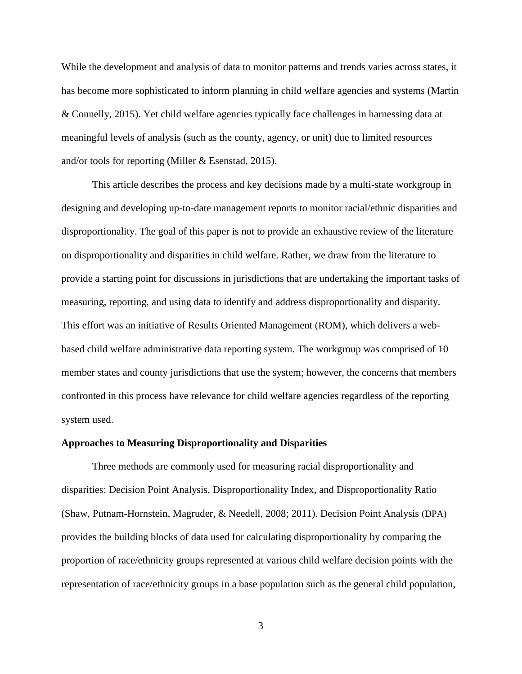While the development and analysis of data to monitor patterns and trends varies across states, it has become more sophisticated to inform planning in child welfare agencies and systems (Martin & Connelly, 2015). Yet child welfare agencies typically face challenges in harnessing data at meaningful levels of analysis (such as the county, agency, or unit) due to limited resources and/or tools for reporting (Miller & Esenstad, 2015).

This article describes the process and key decisions made by a multi-state workgroup in designing and developing up-to-date management reports to monitor racial/ethnic disparities and disproportionality. The goal of this paper is not to provide an exhaustive review of the literature on disproportionality and disparities in child welfare. Rather, we draw from the literature to provide a starting point for discussions in jurisdictions that are undertaking the important tasks of measuring, reporting, and using data to identify and address disproportionality and disparity. This effort was an initiative of Results Oriented Management (ROM), which delivers a webbased child welfare administrative data reporting system. The workgroup was comprised of 10 member states and county jurisdictions that use the system; however, the concerns that members confronted in this process have relevance for child welfare agencies regardless of the reporting system used.

#### **Approaches to Measuring Disproportionality and Disparities**

Three methods are commonly used for measuring racial disproportionality and disparities: Decision Point Analysis, Disproportionality Index, and Disproportionality Ratio (Shaw, Putnam-Hornstein, Magruder, & Needell, 2008; 2011). Decision Point Analysis (DPA) provides the building blocks of data used for calculating disproportionality by comparing the proportion of race/ethnicity groups represented at various child welfare decision points with the representation of race/ethnicity groups in a base population such as the general child population,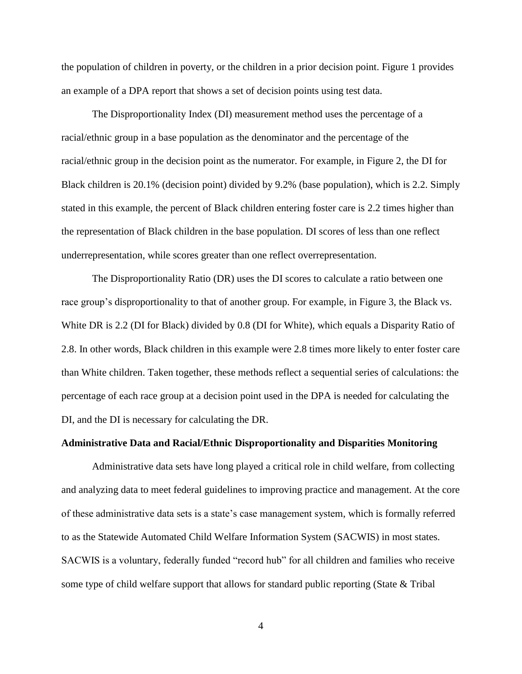the population of children in poverty, or the children in a prior decision point. Figure 1 provides an example of a DPA report that shows a set of decision points using test data.

The Disproportionality Index (DI) measurement method uses the percentage of a racial/ethnic group in a base population as the denominator and the percentage of the racial/ethnic group in the decision point as the numerator. For example, in Figure 2, the DI for Black children is 20.1% (decision point) divided by 9.2% (base population), which is 2.2. Simply stated in this example, the percent of Black children entering foster care is 2.2 times higher than the representation of Black children in the base population. DI scores of less than one reflect underrepresentation, while scores greater than one reflect overrepresentation.

The Disproportionality Ratio (DR) uses the DI scores to calculate a ratio between one race group's disproportionality to that of another group. For example, in Figure 3, the Black vs. White DR is 2.2 (DI for Black) divided by 0.8 (DI for White), which equals a Disparity Ratio of 2.8. In other words, Black children in this example were 2.8 times more likely to enter foster care than White children. Taken together, these methods reflect a sequential series of calculations: the percentage of each race group at a decision point used in the DPA is needed for calculating the DI, and the DI is necessary for calculating the DR.

#### **Administrative Data and Racial/Ethnic Disproportionality and Disparities Monitoring**

Administrative data sets have long played a critical role in child welfare, from collecting and analyzing data to meet federal guidelines to improving practice and management. At the core of these administrative data sets is a state's case management system, which is formally referred to as the Statewide Automated Child Welfare Information System (SACWIS) in most states. SACWIS is a voluntary, federally funded "record hub" for all children and families who receive some type of child welfare support that allows for standard public reporting (State & Tribal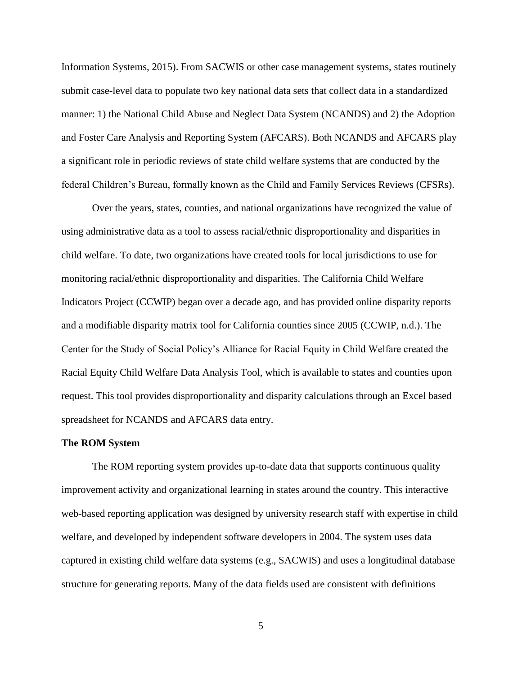Information Systems, 2015). From SACWIS or other case management systems, states routinely submit case-level data to populate two key national data sets that collect data in a standardized manner: 1) the National Child Abuse and Neglect Data System (NCANDS) and 2) the Adoption and Foster Care Analysis and Reporting System (AFCARS). Both NCANDS and AFCARS play a significant role in periodic reviews of state child welfare systems that are conducted by the federal Children's Bureau, formally known as the Child and Family Services Reviews (CFSRs).

Over the years, states, counties, and national organizations have recognized the value of using administrative data as a tool to assess racial/ethnic disproportionality and disparities in child welfare. To date, two organizations have created tools for local jurisdictions to use for monitoring racial/ethnic disproportionality and disparities. The California Child Welfare Indicators Project (CCWIP) began over a decade ago, and has provided online disparity reports and a modifiable disparity matrix tool for California counties since 2005 (CCWIP, n.d.). The Center for the Study of Social Policy's Alliance for Racial Equity in Child Welfare created the Racial Equity Child Welfare Data Analysis Tool, which is available to states and counties upon request. This tool provides disproportionality and disparity calculations through an Excel based spreadsheet for NCANDS and AFCARS data entry.

#### **The ROM System**

The ROM reporting system provides up-to-date data that supports continuous quality improvement activity and organizational learning in states around the country. This interactive web-based reporting application was designed by university research staff with expertise in child welfare, and developed by independent software developers in 2004. The system uses data captured in existing child welfare data systems (e.g., SACWIS) and uses a longitudinal database structure for generating reports. Many of the data fields used are consistent with definitions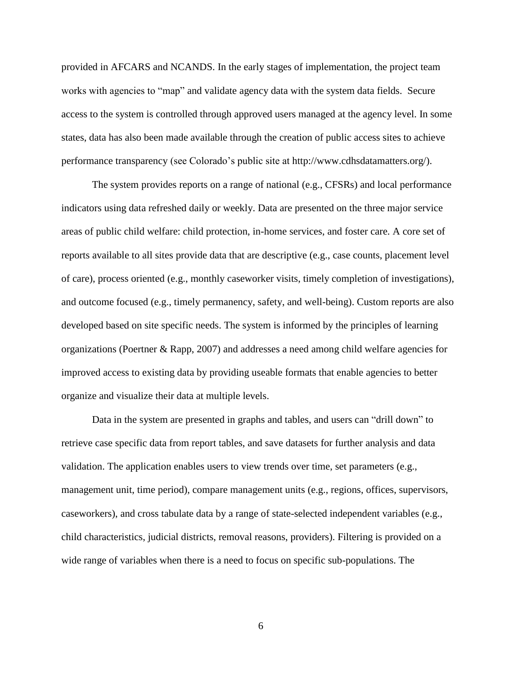provided in AFCARS and NCANDS. In the early stages of implementation, the project team works with agencies to "map" and validate agency data with the system data fields. Secure access to the system is controlled through approved users managed at the agency level. In some states, data has also been made available through the creation of public access sites to achieve performance transparency (see Colorado's public site at http://www.cdhsdatamatters.org/).

The system provides reports on a range of national (e.g., CFSRs) and local performance indicators using data refreshed daily or weekly. Data are presented on the three major service areas of public child welfare: child protection, in-home services, and foster care. A core set of reports available to all sites provide data that are descriptive (e.g., case counts, placement level of care), process oriented (e.g., monthly caseworker visits, timely completion of investigations), and outcome focused (e.g., timely permanency, safety, and well-being). Custom reports are also developed based on site specific needs. The system is informed by the principles of learning organizations (Poertner & Rapp, 2007) and addresses a need among child welfare agencies for improved access to existing data by providing useable formats that enable agencies to better organize and visualize their data at multiple levels.

Data in the system are presented in graphs and tables, and users can "drill down" to retrieve case specific data from report tables, and save datasets for further analysis and data validation. The application enables users to view trends over time, set parameters (e.g., management unit, time period), compare management units (e.g., regions, offices, supervisors, caseworkers), and cross tabulate data by a range of state-selected independent variables (e.g., child characteristics, judicial districts, removal reasons, providers). Filtering is provided on a wide range of variables when there is a need to focus on specific sub-populations. The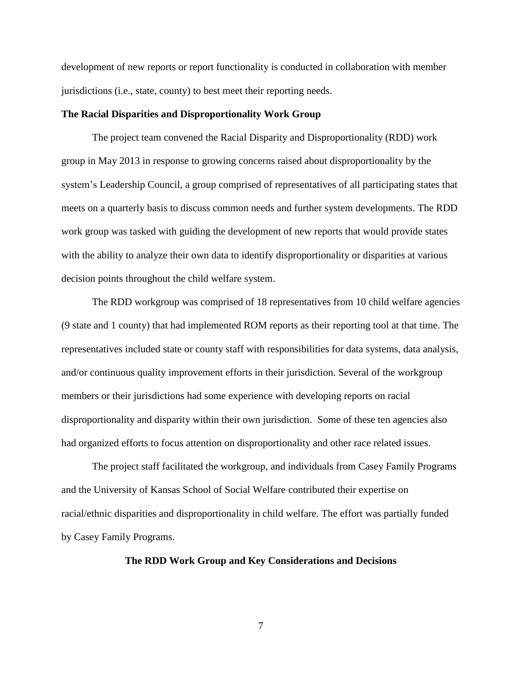development of new reports or report functionality is conducted in collaboration with member jurisdictions (i.e., state, county) to best meet their reporting needs.

#### **The Racial Disparities and Disproportionality Work Group**

The project team convened the Racial Disparity and Disproportionality (RDD) work group in May 2013 in response to growing concerns raised about disproportionality by the system's Leadership Council, a group comprised of representatives of all participating states that meets on a quarterly basis to discuss common needs and further system developments. The RDD work group was tasked with guiding the development of new reports that would provide states with the ability to analyze their own data to identify disproportionality or disparities at various decision points throughout the child welfare system.

The RDD workgroup was comprised of 18 representatives from 10 child welfare agencies (9 state and 1 county) that had implemented ROM reports as their reporting tool at that time. The representatives included state or county staff with responsibilities for data systems, data analysis, and/or continuous quality improvement efforts in their jurisdiction. Several of the workgroup members or their jurisdictions had some experience with developing reports on racial disproportionality and disparity within their own jurisdiction. Some of these ten agencies also had organized efforts to focus attention on disproportionality and other race related issues.

The project staff facilitated the workgroup, and individuals from Casey Family Programs and the University of Kansas School of Social Welfare contributed their expertise on racial/ethnic disparities and disproportionality in child welfare. The effort was partially funded by Casey Family Programs.

#### **The RDD Work Group and Key Considerations and Decisions**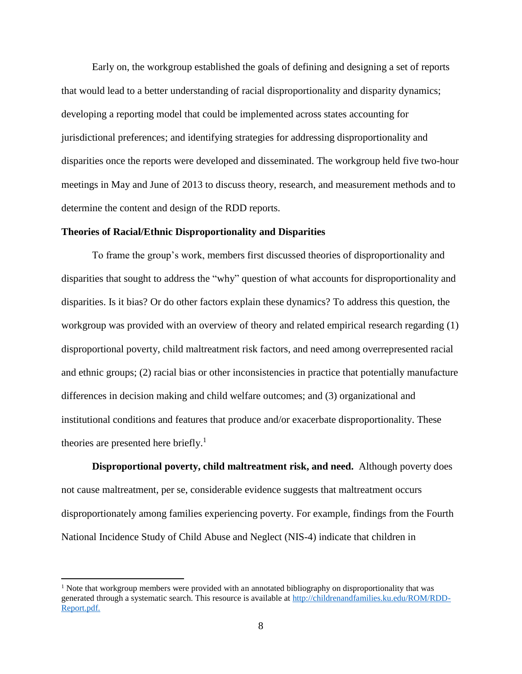Early on, the workgroup established the goals of defining and designing a set of reports that would lead to a better understanding of racial disproportionality and disparity dynamics; developing a reporting model that could be implemented across states accounting for jurisdictional preferences; and identifying strategies for addressing disproportionality and disparities once the reports were developed and disseminated. The workgroup held five two-hour meetings in May and June of 2013 to discuss theory, research, and measurement methods and to determine the content and design of the RDD reports.

#### **Theories of Racial/Ethnic Disproportionality and Disparities**

To frame the group's work, members first discussed theories of disproportionality and disparities that sought to address the "why" question of what accounts for disproportionality and disparities. Is it bias? Or do other factors explain these dynamics? To address this question, the workgroup was provided with an overview of theory and related empirical research regarding (1) disproportional poverty, child maltreatment risk factors, and need among overrepresented racial and ethnic groups; (2) racial bias or other inconsistencies in practice that potentially manufacture differences in decision making and child welfare outcomes; and (3) organizational and institutional conditions and features that produce and/or exacerbate disproportionality. These theories are presented here briefly. $<sup>1</sup>$ </sup>

**Disproportional poverty, child maltreatment risk, and need.** Although poverty does not cause maltreatment, per se, considerable evidence suggests that maltreatment occurs disproportionately among families experiencing poverty. For example, findings from the Fourth National Incidence Study of Child Abuse and Neglect (NIS-4) indicate that children in

 $\overline{\phantom{a}}$ 

<sup>&</sup>lt;sup>1</sup> Note that workgroup members were provided with an annotated bibliography on disproportionality that was generated through a systematic search. This resource is available at [http://childrenandfamilies.ku.edu/ROM/RDD-](http://childrenandfamilies.ku.edu/ROM/RDD-Report.pdf)[Report.pdf.](http://childrenandfamilies.ku.edu/ROM/RDD-Report.pdf)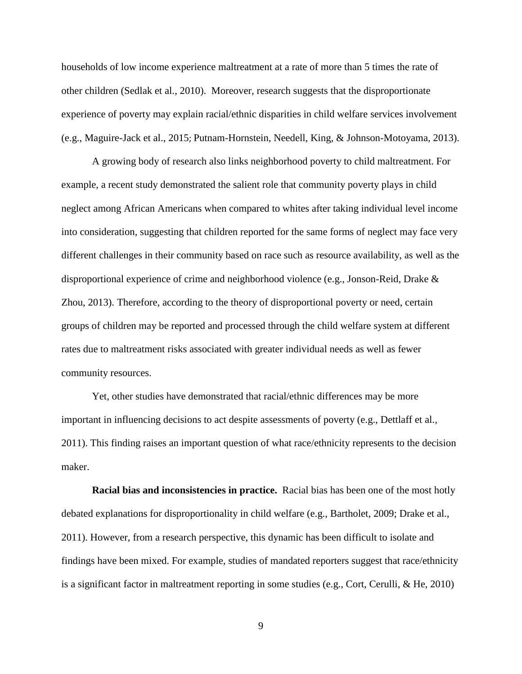households of low income experience maltreatment at a rate of more than 5 times the rate of other children (Sedlak et al., 2010). Moreover, research suggests that the disproportionate experience of poverty may explain racial/ethnic disparities in child welfare services involvement (e.g., Maguire-Jack et al., 2015; Putnam-Hornstein, Needell, King, & Johnson-Motoyama, 2013).

A growing body of research also links neighborhood poverty to child maltreatment. For example, a recent study demonstrated the salient role that community poverty plays in child neglect among African Americans when compared to whites after taking individual level income into consideration, suggesting that children reported for the same forms of neglect may face very different challenges in their community based on race such as resource availability, as well as the disproportional experience of crime and neighborhood violence (e.g., Jonson-Reid, Drake & Zhou, 2013). Therefore, according to the theory of disproportional poverty or need, certain groups of children may be reported and processed through the child welfare system at different rates due to maltreatment risks associated with greater individual needs as well as fewer community resources.

Yet, other studies have demonstrated that racial/ethnic differences may be more important in influencing decisions to act despite assessments of poverty (e.g., Dettlaff et al., 2011). This finding raises an important question of what race/ethnicity represents to the decision maker.

**Racial bias and inconsistencies in practice.** Racial bias has been one of the most hotly debated explanations for disproportionality in child welfare (e.g., Bartholet, 2009; Drake et al., 2011). However, from a research perspective, this dynamic has been difficult to isolate and findings have been mixed. For example, studies of mandated reporters suggest that race/ethnicity is a significant factor in maltreatment reporting in some studies (e.g., Cort, Cerulli, & He, 2010)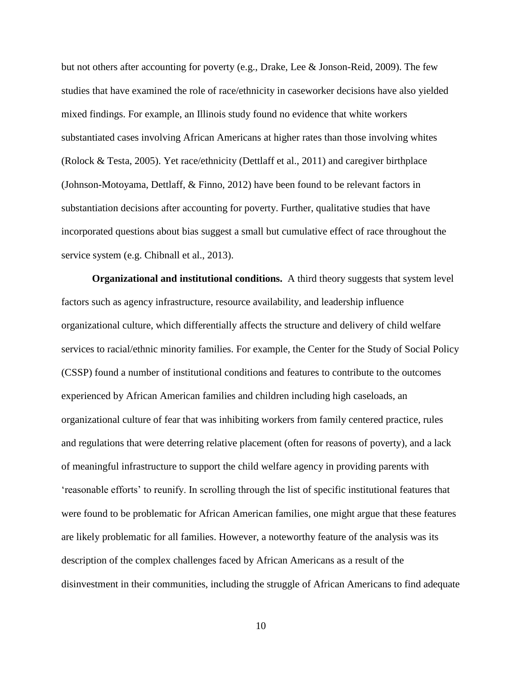but not others after accounting for poverty (e.g., Drake, Lee & Jonson-Reid, 2009). The few studies that have examined the role of race/ethnicity in caseworker decisions have also yielded mixed findings. For example, an Illinois study found no evidence that white workers substantiated cases involving African Americans at higher rates than those involving whites (Rolock & Testa, 2005). Yet race/ethnicity (Dettlaff et al., 2011) and caregiver birthplace (Johnson-Motoyama, Dettlaff, & Finno, 2012) have been found to be relevant factors in substantiation decisions after accounting for poverty. Further, qualitative studies that have incorporated questions about bias suggest a small but cumulative effect of race throughout the service system (e.g. Chibnall et al., 2013).

**Organizational and institutional conditions.** A third theory suggests that system level factors such as agency infrastructure, resource availability, and leadership influence organizational culture, which differentially affects the structure and delivery of child welfare services to racial/ethnic minority families. For example, the Center for the Study of Social Policy (CSSP) found a number of institutional conditions and features to contribute to the outcomes experienced by African American families and children including high caseloads, an organizational culture of fear that was inhibiting workers from family centered practice, rules and regulations that were deterring relative placement (often for reasons of poverty), and a lack of meaningful infrastructure to support the child welfare agency in providing parents with 'reasonable efforts' to reunify. In scrolling through the list of specific institutional features that were found to be problematic for African American families, one might argue that these features are likely problematic for all families. However, a noteworthy feature of the analysis was its description of the complex challenges faced by African Americans as a result of the disinvestment in their communities, including the struggle of African Americans to find adequate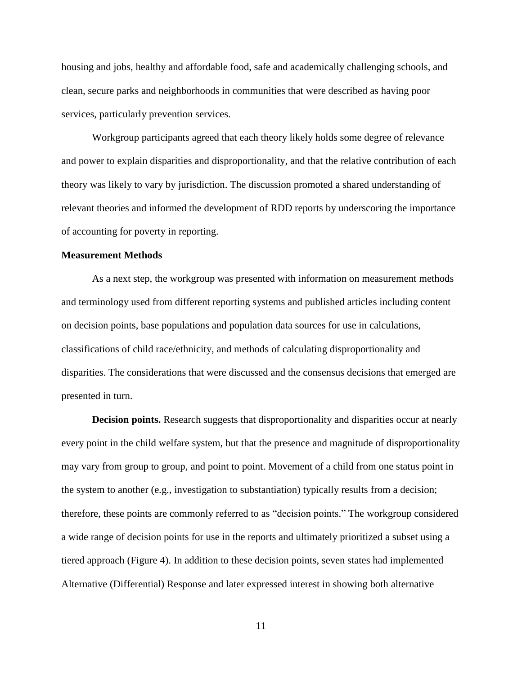housing and jobs, healthy and affordable food, safe and academically challenging schools, and clean, secure parks and neighborhoods in communities that were described as having poor services, particularly prevention services.

Workgroup participants agreed that each theory likely holds some degree of relevance and power to explain disparities and disproportionality, and that the relative contribution of each theory was likely to vary by jurisdiction. The discussion promoted a shared understanding of relevant theories and informed the development of RDD reports by underscoring the importance of accounting for poverty in reporting.

#### **Measurement Methods**

As a next step, the workgroup was presented with information on measurement methods and terminology used from different reporting systems and published articles including content on decision points, base populations and population data sources for use in calculations, classifications of child race/ethnicity, and methods of calculating disproportionality and disparities. The considerations that were discussed and the consensus decisions that emerged are presented in turn.

**Decision points.** Research suggests that disproportionality and disparities occur at nearly every point in the child welfare system, but that the presence and magnitude of disproportionality may vary from group to group, and point to point. Movement of a child from one status point in the system to another (e.g., investigation to substantiation) typically results from a decision; therefore, these points are commonly referred to as "decision points." The workgroup considered a wide range of decision points for use in the reports and ultimately prioritized a subset using a tiered approach (Figure 4). In addition to these decision points, seven states had implemented Alternative (Differential) Response and later expressed interest in showing both alternative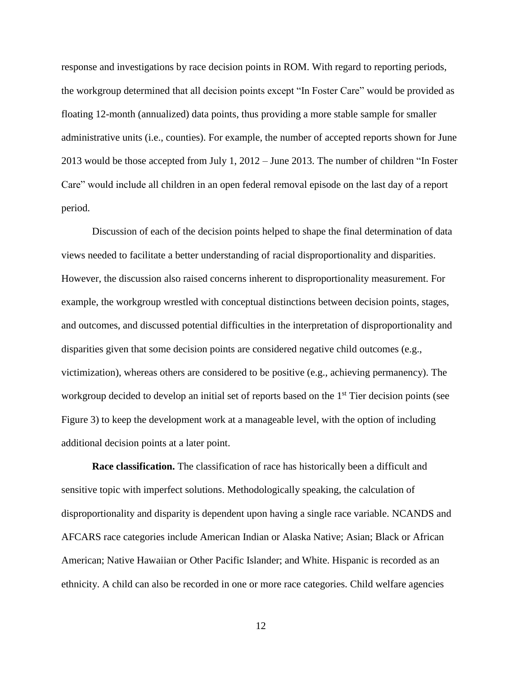response and investigations by race decision points in ROM. With regard to reporting periods, the workgroup determined that all decision points except "In Foster Care" would be provided as floating 12-month (annualized) data points, thus providing a more stable sample for smaller administrative units (i.e., counties). For example, the number of accepted reports shown for June 2013 would be those accepted from July 1, 2012 – June 2013. The number of children "In Foster Care" would include all children in an open federal removal episode on the last day of a report period.

Discussion of each of the decision points helped to shape the final determination of data views needed to facilitate a better understanding of racial disproportionality and disparities. However, the discussion also raised concerns inherent to disproportionality measurement. For example, the workgroup wrestled with conceptual distinctions between decision points, stages, and outcomes, and discussed potential difficulties in the interpretation of disproportionality and disparities given that some decision points are considered negative child outcomes (e.g., victimization), whereas others are considered to be positive (e.g., achieving permanency). The workgroup decided to develop an initial set of reports based on the 1<sup>st</sup> Tier decision points (see Figure 3) to keep the development work at a manageable level, with the option of including additional decision points at a later point.

**Race classification.** The classification of race has historically been a difficult and sensitive topic with imperfect solutions. Methodologically speaking, the calculation of disproportionality and disparity is dependent upon having a single race variable. NCANDS and AFCARS race categories include American Indian or Alaska Native; Asian; Black or African American; Native Hawaiian or Other Pacific Islander; and White. Hispanic is recorded as an ethnicity. A child can also be recorded in one or more race categories. Child welfare agencies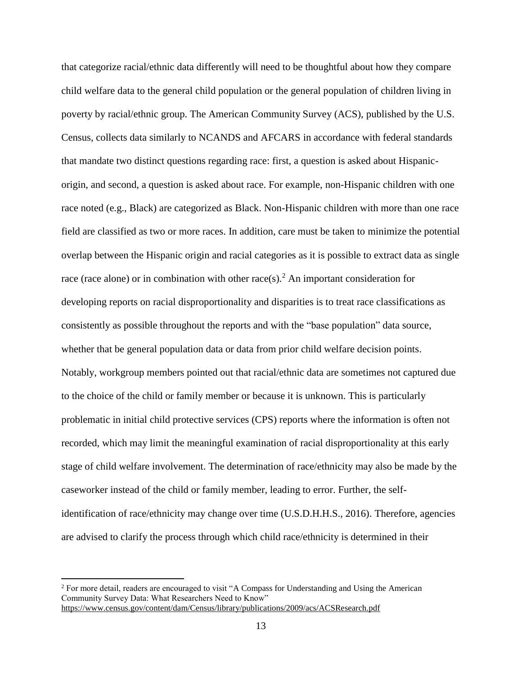that categorize racial/ethnic data differently will need to be thoughtful about how they compare child welfare data to the general child population or the general population of children living in poverty by racial/ethnic group. The American Community Survey (ACS), published by the U.S. Census, collects data similarly to NCANDS and AFCARS in accordance with federal standards that mandate two distinct questions regarding race: first, a question is asked about Hispanicorigin, and second, a question is asked about race. For example, non-Hispanic children with one race noted (e.g., Black) are categorized as Black. Non-Hispanic children with more than one race field are classified as two or more races. In addition, care must be taken to minimize the potential overlap between the Hispanic origin and racial categories as it is possible to extract data as single race (race alone) or in combination with other race(s).<sup>2</sup> An important consideration for developing reports on racial disproportionality and disparities is to treat race classifications as consistently as possible throughout the reports and with the "base population" data source, whether that be general population data or data from prior child welfare decision points. Notably, workgroup members pointed out that racial/ethnic data are sometimes not captured due to the choice of the child or family member or because it is unknown. This is particularly problematic in initial child protective services (CPS) reports where the information is often not recorded, which may limit the meaningful examination of racial disproportionality at this early stage of child welfare involvement. The determination of race/ethnicity may also be made by the caseworker instead of the child or family member, leading to error. Further, the selfidentification of race/ethnicity may change over time (U.S.D.H.H.S., 2016). Therefore, agencies are advised to clarify the process through which child race/ethnicity is determined in their

 $\overline{\phantom{a}}$ 

<sup>2</sup> For more detail, readers are encouraged to visit "A Compass for Understanding and Using the American Community Survey Data: What Researchers Need to Know" <https://www.census.gov/content/dam/Census/library/publications/2009/acs/ACSResearch.pdf>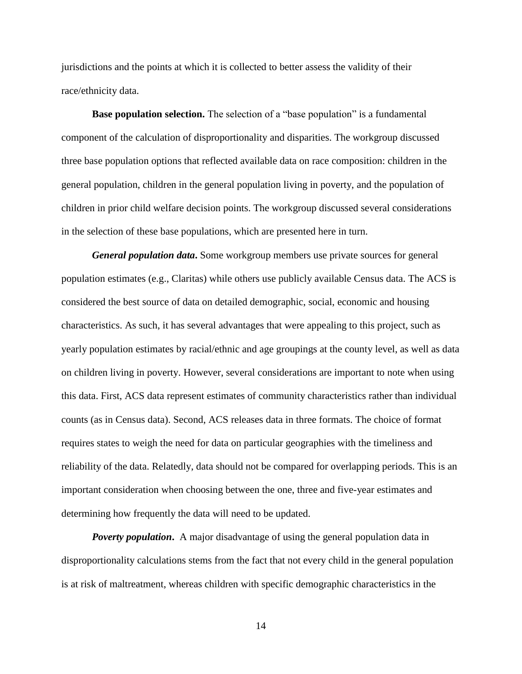jurisdictions and the points at which it is collected to better assess the validity of their race/ethnicity data.

**Base population selection.** The selection of a "base population" is a fundamental component of the calculation of disproportionality and disparities. The workgroup discussed three base population options that reflected available data on race composition: children in the general population, children in the general population living in poverty, and the population of children in prior child welfare decision points. The workgroup discussed several considerations in the selection of these base populations, which are presented here in turn.

*General population data***.** Some workgroup members use private sources for general population estimates (e.g., Claritas) while others use publicly available Census data. The ACS is considered the best source of data on detailed demographic, social, economic and housing characteristics. As such, it has several advantages that were appealing to this project, such as yearly population estimates by racial/ethnic and age groupings at the county level, as well as data on children living in poverty. However, several considerations are important to note when using this data. First, ACS data represent estimates of community characteristics rather than individual counts (as in Census data). Second, ACS releases data in three formats. The choice of format requires states to weigh the need for data on particular geographies with the timeliness and reliability of the data. Relatedly, data should not be compared for overlapping periods. This is an important consideration when choosing between the one, three and five-year estimates and determining how frequently the data will need to be updated.

*Poverty population.* A major disadvantage of using the general population data in disproportionality calculations stems from the fact that not every child in the general population is at risk of maltreatment, whereas children with specific demographic characteristics in the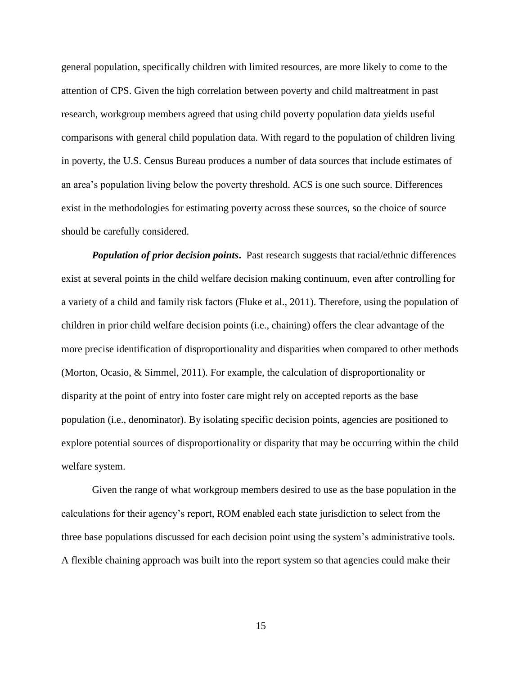general population, specifically children with limited resources, are more likely to come to the attention of CPS. Given the high correlation between poverty and child maltreatment in past research, workgroup members agreed that using child poverty population data yields useful comparisons with general child population data. With regard to the population of children living in poverty, the U.S. Census Bureau produces a number of data sources that include estimates of an area's population living below the poverty threshold. ACS is one such source. Differences exist in the methodologies for estimating poverty across these sources, so the choice of source should be carefully considered.

*Population of prior decision points***.** Past research suggests that racial/ethnic differences exist at several points in the child welfare decision making continuum, even after controlling for a variety of a child and family risk factors (Fluke et al., 2011). Therefore, using the population of children in prior child welfare decision points (i.e., chaining) offers the clear advantage of the more precise identification of disproportionality and disparities when compared to other methods (Morton, Ocasio, & Simmel, 2011). For example, the calculation of disproportionality or disparity at the point of entry into foster care might rely on accepted reports as the base population (i.e., denominator). By isolating specific decision points, agencies are positioned to explore potential sources of disproportionality or disparity that may be occurring within the child welfare system.

Given the range of what workgroup members desired to use as the base population in the calculations for their agency's report, ROM enabled each state jurisdiction to select from the three base populations discussed for each decision point using the system's administrative tools. A flexible chaining approach was built into the report system so that agencies could make their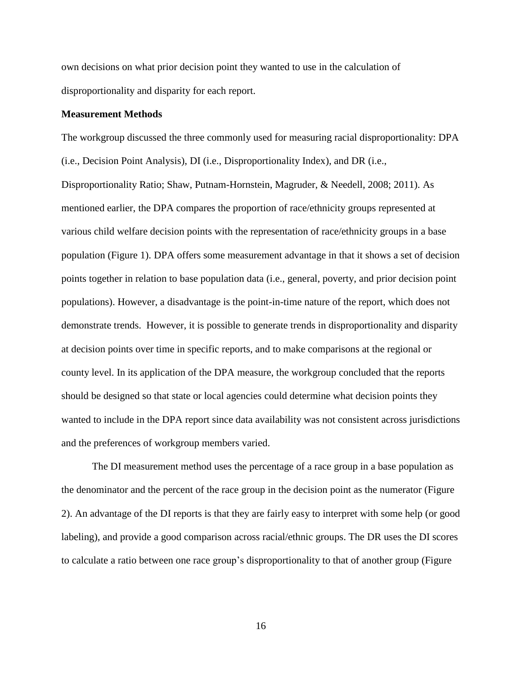own decisions on what prior decision point they wanted to use in the calculation of disproportionality and disparity for each report.

#### **Measurement Methods**

The workgroup discussed the three commonly used for measuring racial disproportionality: DPA (i.e., Decision Point Analysis), DI (i.e., Disproportionality Index), and DR (i.e., Disproportionality Ratio; Shaw, Putnam-Hornstein, Magruder, & Needell, 2008; 2011). As mentioned earlier, the DPA compares the proportion of race/ethnicity groups represented at various child welfare decision points with the representation of race/ethnicity groups in a base population (Figure 1). DPA offers some measurement advantage in that it shows a set of decision points together in relation to base population data (i.e., general, poverty, and prior decision point populations). However, a disadvantage is the point-in-time nature of the report, which does not demonstrate trends. However, it is possible to generate trends in disproportionality and disparity at decision points over time in specific reports, and to make comparisons at the regional or county level. In its application of the DPA measure, the workgroup concluded that the reports should be designed so that state or local agencies could determine what decision points they wanted to include in the DPA report since data availability was not consistent across jurisdictions and the preferences of workgroup members varied.

The DI measurement method uses the percentage of a race group in a base population as the denominator and the percent of the race group in the decision point as the numerator (Figure 2). An advantage of the DI reports is that they are fairly easy to interpret with some help (or good labeling), and provide a good comparison across racial/ethnic groups. The DR uses the DI scores to calculate a ratio between one race group's disproportionality to that of another group (Figure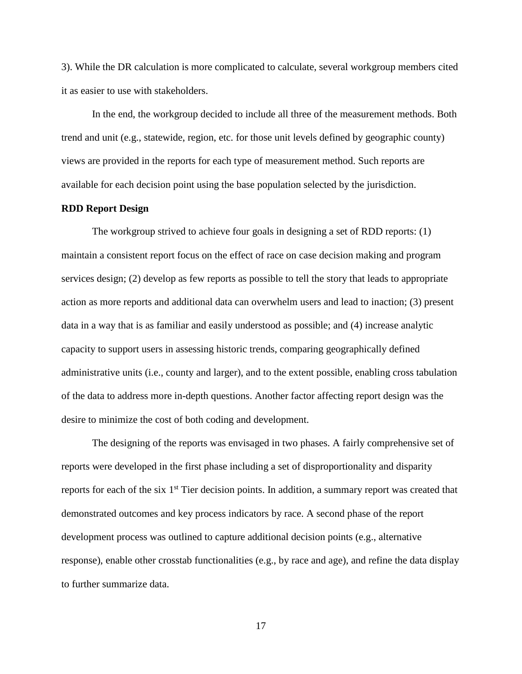3). While the DR calculation is more complicated to calculate, several workgroup members cited it as easier to use with stakeholders.

In the end, the workgroup decided to include all three of the measurement methods. Both trend and unit (e.g., statewide, region, etc. for those unit levels defined by geographic county) views are provided in the reports for each type of measurement method. Such reports are available for each decision point using the base population selected by the jurisdiction.

#### **RDD Report Design**

The workgroup strived to achieve four goals in designing a set of RDD reports: (1) maintain a consistent report focus on the effect of race on case decision making and program services design; (2) develop as few reports as possible to tell the story that leads to appropriate action as more reports and additional data can overwhelm users and lead to inaction; (3) present data in a way that is as familiar and easily understood as possible; and (4) increase analytic capacity to support users in assessing historic trends, comparing geographically defined administrative units (i.e., county and larger), and to the extent possible, enabling cross tabulation of the data to address more in-depth questions. Another factor affecting report design was the desire to minimize the cost of both coding and development.

The designing of the reports was envisaged in two phases. A fairly comprehensive set of reports were developed in the first phase including a set of disproportionality and disparity reports for each of the six 1<sup>st</sup> Tier decision points. In addition, a summary report was created that demonstrated outcomes and key process indicators by race. A second phase of the report development process was outlined to capture additional decision points (e.g., alternative response), enable other crosstab functionalities (e.g., by race and age), and refine the data display to further summarize data.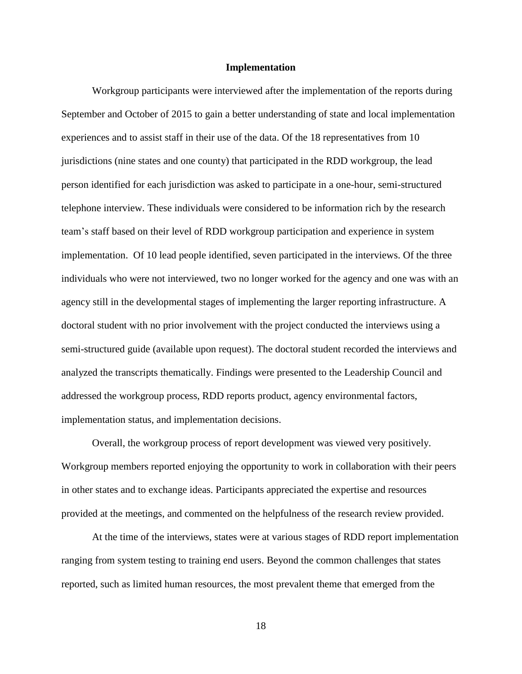#### **Implementation**

Workgroup participants were interviewed after the implementation of the reports during September and October of 2015 to gain a better understanding of state and local implementation experiences and to assist staff in their use of the data. Of the 18 representatives from 10 jurisdictions (nine states and one county) that participated in the RDD workgroup, the lead person identified for each jurisdiction was asked to participate in a one-hour, semi-structured telephone interview. These individuals were considered to be information rich by the research team's staff based on their level of RDD workgroup participation and experience in system implementation. Of 10 lead people identified, seven participated in the interviews. Of the three individuals who were not interviewed, two no longer worked for the agency and one was with an agency still in the developmental stages of implementing the larger reporting infrastructure. A doctoral student with no prior involvement with the project conducted the interviews using a semi-structured guide (available upon request). The doctoral student recorded the interviews and analyzed the transcripts thematically. Findings were presented to the Leadership Council and addressed the workgroup process, RDD reports product, agency environmental factors, implementation status, and implementation decisions.

Overall, the workgroup process of report development was viewed very positively. Workgroup members reported enjoying the opportunity to work in collaboration with their peers in other states and to exchange ideas. Participants appreciated the expertise and resources provided at the meetings, and commented on the helpfulness of the research review provided.

At the time of the interviews, states were at various stages of RDD report implementation ranging from system testing to training end users. Beyond the common challenges that states reported, such as limited human resources, the most prevalent theme that emerged from the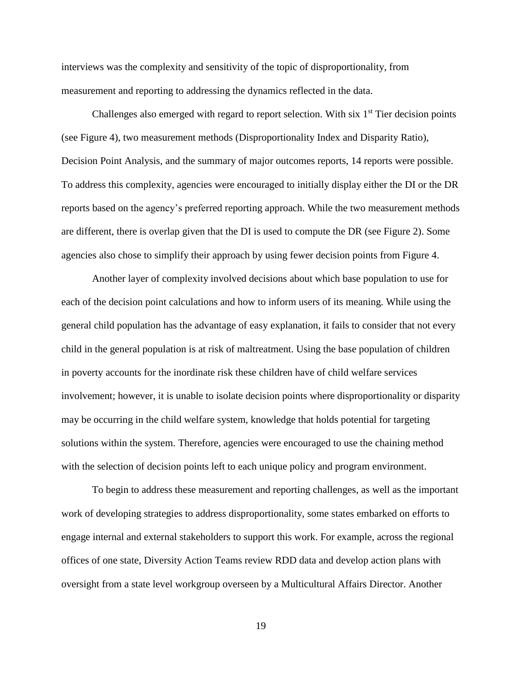interviews was the complexity and sensitivity of the topic of disproportionality, from measurement and reporting to addressing the dynamics reflected in the data.

Challenges also emerged with regard to report selection. With six  $1<sup>st</sup>$  Tier decision points (see Figure 4), two measurement methods (Disproportionality Index and Disparity Ratio), Decision Point Analysis, and the summary of major outcomes reports, 14 reports were possible. To address this complexity, agencies were encouraged to initially display either the DI or the DR reports based on the agency's preferred reporting approach. While the two measurement methods are different, there is overlap given that the DI is used to compute the DR (see Figure 2). Some agencies also chose to simplify their approach by using fewer decision points from Figure 4.

Another layer of complexity involved decisions about which base population to use for each of the decision point calculations and how to inform users of its meaning. While using the general child population has the advantage of easy explanation, it fails to consider that not every child in the general population is at risk of maltreatment. Using the base population of children in poverty accounts for the inordinate risk these children have of child welfare services involvement; however, it is unable to isolate decision points where disproportionality or disparity may be occurring in the child welfare system, knowledge that holds potential for targeting solutions within the system. Therefore, agencies were encouraged to use the chaining method with the selection of decision points left to each unique policy and program environment.

To begin to address these measurement and reporting challenges, as well as the important work of developing strategies to address disproportionality, some states embarked on efforts to engage internal and external stakeholders to support this work. For example, across the regional offices of one state, Diversity Action Teams review RDD data and develop action plans with oversight from a state level workgroup overseen by a Multicultural Affairs Director. Another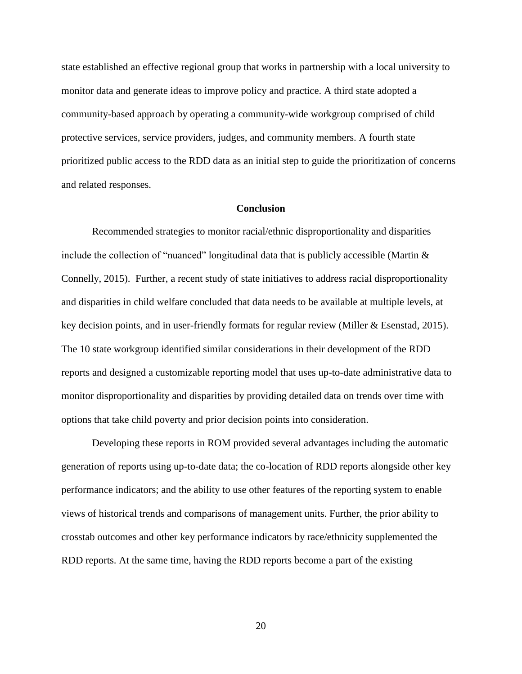state established an effective regional group that works in partnership with a local university to monitor data and generate ideas to improve policy and practice. A third state adopted a community-based approach by operating a community-wide workgroup comprised of child protective services, service providers, judges, and community members. A fourth state prioritized public access to the RDD data as an initial step to guide the prioritization of concerns and related responses.

#### **Conclusion**

Recommended strategies to monitor racial/ethnic disproportionality and disparities include the collection of "nuanced" longitudinal data that is publicly accessible (Martin  $\&$ Connelly, 2015). Further, a recent study of state initiatives to address racial disproportionality and disparities in child welfare concluded that data needs to be available at multiple levels, at key decision points, and in user-friendly formats for regular review (Miller & Esenstad, 2015). The 10 state workgroup identified similar considerations in their development of the RDD reports and designed a customizable reporting model that uses up-to-date administrative data to monitor disproportionality and disparities by providing detailed data on trends over time with options that take child poverty and prior decision points into consideration.

Developing these reports in ROM provided several advantages including the automatic generation of reports using up-to-date data; the co-location of RDD reports alongside other key performance indicators; and the ability to use other features of the reporting system to enable views of historical trends and comparisons of management units. Further, the prior ability to crosstab outcomes and other key performance indicators by race/ethnicity supplemented the RDD reports. At the same time, having the RDD reports become a part of the existing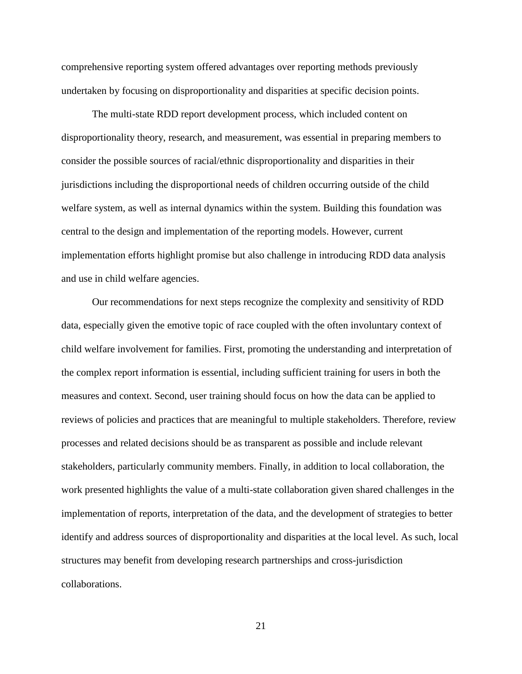comprehensive reporting system offered advantages over reporting methods previously undertaken by focusing on disproportionality and disparities at specific decision points.

The multi-state RDD report development process, which included content on disproportionality theory, research, and measurement, was essential in preparing members to consider the possible sources of racial/ethnic disproportionality and disparities in their jurisdictions including the disproportional needs of children occurring outside of the child welfare system, as well as internal dynamics within the system. Building this foundation was central to the design and implementation of the reporting models. However, current implementation efforts highlight promise but also challenge in introducing RDD data analysis and use in child welfare agencies.

Our recommendations for next steps recognize the complexity and sensitivity of RDD data, especially given the emotive topic of race coupled with the often involuntary context of child welfare involvement for families. First, promoting the understanding and interpretation of the complex report information is essential, including sufficient training for users in both the measures and context. Second, user training should focus on how the data can be applied to reviews of policies and practices that are meaningful to multiple stakeholders. Therefore, review processes and related decisions should be as transparent as possible and include relevant stakeholders, particularly community members. Finally, in addition to local collaboration, the work presented highlights the value of a multi-state collaboration given shared challenges in the implementation of reports, interpretation of the data, and the development of strategies to better identify and address sources of disproportionality and disparities at the local level. As such, local structures may benefit from developing research partnerships and cross-jurisdiction collaborations.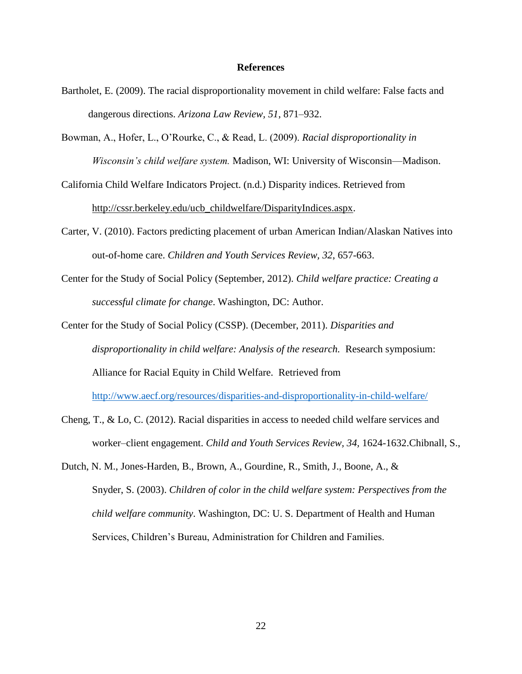#### **References**

- Bartholet, E. (2009). The racial disproportionality movement in child welfare: False facts and dangerous directions. *Arizona Law Review, 51*, 871–932.
- Bowman, A., Hofer, L., O'Rourke, C., & Read, L. (2009). *Racial disproportionality in Wisconsin's child welfare system.* Madison, WI: University of Wisconsin—Madison.

California Child Welfare Indicators Project. (n.d.) Disparity indices. Retrieved from [http://cssr.berkeley.edu/ucb\\_childwelfare/DisparityIndices.aspx.](http://cssr.berkeley.edu/ucb_childwelfare/DisparityIndices.aspx)

- Carter, V. (2010). Factors predicting placement of urban American Indian/Alaskan Natives into out-of-home care. *Children and Youth Services Review, 32*, 657-663.
- Center for the Study of Social Policy (September, 2012). *Child welfare practice: Creating a successful climate for change*. Washington, DC: Author.
- Center for the Study of Social Policy (CSSP). (December, 2011). *Disparities and disproportionality in child welfare: Analysis of the research.* Research symposium: Alliance for Racial Equity in Child Welfare. Retrieved from <http://www.aecf.org/resources/disparities-and-disproportionality-in-child-welfare/>
- Cheng, T., & Lo, C. (2012). Racial disparities in access to needed child welfare services and

worker–client engagement. *Child and Youth Services Review, 34,* 1624-1632.Chibnall, S.,

Dutch, N. M., Jones-Harden, B., Brown, A., Gourdine, R., Smith, J., Boone, A., & Snyder, S. (2003). *Children of color in the child welfare system: Perspectives from the child welfare community*. Washington, DC: U. S. Department of Health and Human Services, Children's Bureau, Administration for Children and Families.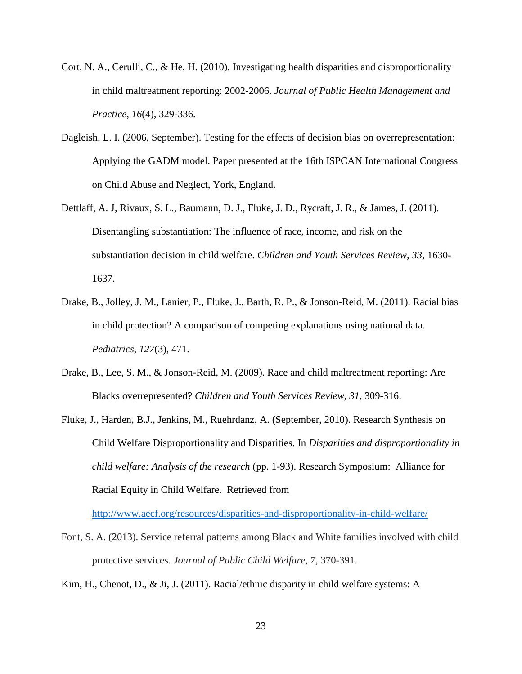- Cort, N. A., Cerulli, C., & He, H. (2010). Investigating health disparities and disproportionality in child maltreatment reporting: 2002-2006. *Journal of Public Health Management and Practice, 16*(4), 329-336.
- Dagleish, L. I. (2006, September). Testing for the effects of decision bias on overrepresentation: Applying the GADM model. Paper presented at the 16th ISPCAN International Congress on Child Abuse and Neglect, York, England.
- Dettlaff, A. J, Rivaux, S. L., Baumann, D. J., Fluke, J. D., Rycraft, J. R., & James, J. (2011). Disentangling substantiation: The influence of race, income, and risk on the substantiation decision in child welfare. *Children and Youth Services Review, 33,* 1630- 1637.
- Drake, B., Jolley, J. M., Lanier, P., Fluke, J., Barth, R. P., & Jonson-Reid, M. (2011). Racial bias in child protection? A comparison of competing explanations using national data. *Pediatrics, 127*(3), 471.
- Drake, B., Lee, S. M., & Jonson-Reid, M. (2009). Race and child maltreatment reporting: Are Blacks overrepresented? *Children and Youth Services Review, 31,* 309-316.
- Fluke, J., Harden, B.J., Jenkins, M., Ruehrdanz, A. (September, 2010). Research Synthesis on Child Welfare Disproportionality and Disparities. In *Disparities and disproportionality in child welfare: Analysis of the research* (pp. 1-93). Research Symposium: Alliance for Racial Equity in Child Welfare. Retrieved from

<http://www.aecf.org/resources/disparities-and-disproportionality-in-child-welfare/>

- Font, S. A. (2013). Service referral patterns among Black and White families involved with child protective services. *Journal of Public Child Welfare, 7,* 370-391.
- Kim, H., Chenot, D., & Ji, J. (2011). Racial/ethnic disparity in child welfare systems: A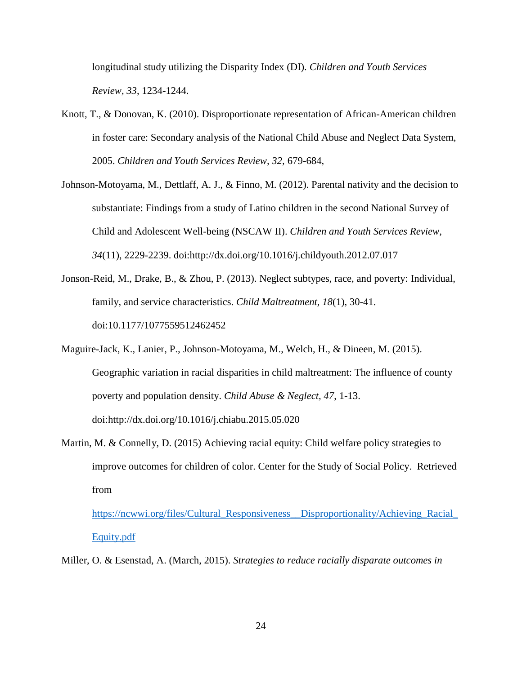longitudinal study utilizing the Disparity Index (DI). *Children and Youth Services Review, 33*, 1234-1244.

- Knott, T., & Donovan, K. (2010). Disproportionate representation of African-American children in foster care: Secondary analysis of the National Child Abuse and Neglect Data System, 2005. *Children and Youth Services Review, 32,* 679-684,
- Johnson-Motoyama, M., Dettlaff, A. J., & Finno, M. (2012). Parental nativity and the decision to substantiate: Findings from a study of Latino children in the second National Survey of Child and Adolescent Well-being (NSCAW II). *Children and Youth Services Review, 34*(11), 2229-2239. doi:http://dx.doi.org/10.1016/j.childyouth.2012.07.017
- Jonson-Reid, M., Drake, B., & Zhou, P. (2013). Neglect subtypes, race, and poverty: Individual, family, and service characteristics. *Child Maltreatment, 18*(1), 30-41. doi:10.1177/1077559512462452
- Maguire-Jack, K., Lanier, P., Johnson-Motoyama, M., Welch, H., & Dineen, M. (2015). Geographic variation in racial disparities in child maltreatment: The influence of county poverty and population density. *Child Abuse & Neglect, 47*, 1-13. doi:http://dx.doi.org/10.1016/j.chiabu.2015.05.020
- Martin, M. & Connelly, D. (2015) Achieving racial equity: Child welfare policy strategies to improve outcomes for children of color. Center for the Study of Social Policy. Retrieved from

[https://ncwwi.org/files/Cultural\\_Responsiveness\\_\\_Disproportionality/Achieving\\_Racial\\_](https://ncwwi.org/files/Cultural_Responsiveness__Disproportionality/Achieving_Racial_Equity.pdf) [Equity.pdf](https://ncwwi.org/files/Cultural_Responsiveness__Disproportionality/Achieving_Racial_Equity.pdf)

Miller, O. & Esenstad, A. (March, 2015). *Strategies to reduce racially disparate outcomes in*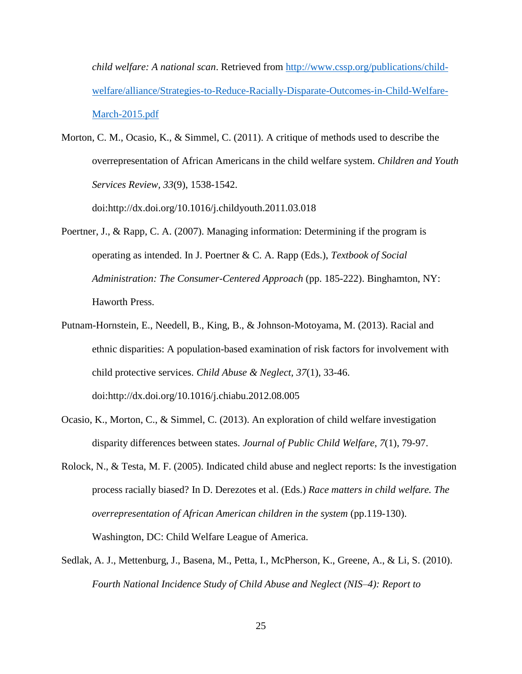*child welfare: A national scan*. Retrieved from [http://www.cssp.org/publications/child](http://www.cssp.org/publications/child-welfare/alliance/Strategies-to-Reduce-Racially-Disparate-Outcomes-in-Child-Welfare-March-2015.pdf)[welfare/alliance/Strategies-to-Reduce-Racially-Disparate-Outcomes-in-Child-Welfare-](http://www.cssp.org/publications/child-welfare/alliance/Strategies-to-Reduce-Racially-Disparate-Outcomes-in-Child-Welfare-March-2015.pdf)[March-2015.pdf](http://www.cssp.org/publications/child-welfare/alliance/Strategies-to-Reduce-Racially-Disparate-Outcomes-in-Child-Welfare-March-2015.pdf)

Morton, C. M., Ocasio, K., & Simmel, C. (2011). A critique of methods used to describe the overrepresentation of African Americans in the child welfare system. *Children and Youth Services Review, 33*(9), 1538-1542.

doi:http://dx.doi.org/10.1016/j.childyouth.2011.03.018

- Poertner, J., & Rapp, C. A. (2007). Managing information: Determining if the program is operating as intended. In J. Poertner & C. A. Rapp (Eds.), *Textbook of Social Administration: The Consumer-Centered Approach* (pp. 185-222). Binghamton, NY: Haworth Press.
- Putnam-Hornstein, E., Needell, B., King, B., & Johnson-Motoyama, M. (2013). Racial and ethnic disparities: A population-based examination of risk factors for involvement with child protective services. *Child Abuse & Neglect, 37*(1), 33-46. doi:http://dx.doi.org/10.1016/j.chiabu.2012.08.005
- Ocasio, K., Morton, C., & Simmel, C. (2013). An exploration of child welfare investigation disparity differences between states. *Journal of Public Child Welfare*, *7*(1), 79-97.
- Rolock, N., & Testa, M. F. (2005). Indicated child abuse and neglect reports: Is the investigation process racially biased? In D. Derezotes et al. (Eds.) *Race matters in child welfare. The overrepresentation of African American children in the system* (pp.119-130). Washington, DC: Child Welfare League of America.
- Sedlak, A. J., Mettenburg, J., Basena, M., Petta, I., McPherson, K., Greene, A., & Li, S. (2010). *Fourth National Incidence Study of Child Abuse and Neglect (NIS–4): Report to*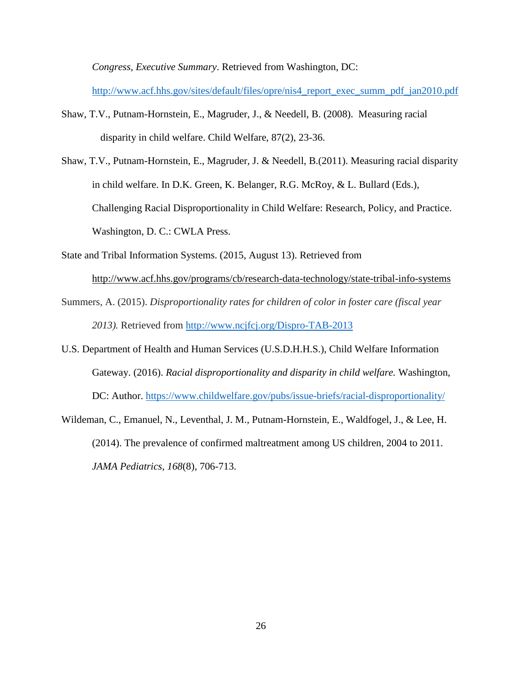*Congress, Executive Summary*. Retrieved from Washington, DC:

[http://www.acf.hhs.gov/sites/default/files/opre/nis4\\_report\\_exec\\_summ\\_pdf\\_jan2010.pdf](http://www.acf.hhs.gov/sites/default/files/opre/nis4_report_exec_summ_pdf_jan2010.pdf)

- Shaw, T.V., Putnam-Hornstein, E., Magruder, J., & Needell, B. (2008). Measuring racial disparity in child welfare. Child Welfare, 87(2), 23-36.
- Shaw, T.V., Putnam-Hornstein, E., Magruder, J. & Needell, B.(2011). Measuring racial disparity in child welfare. In D.K. Green, K. Belanger, R.G. McRoy, & L. Bullard (Eds.), Challenging Racial Disproportionality in Child Welfare: Research, Policy, and Practice. Washington, D. C.: CWLA Press.
- State and Tribal Information Systems. (2015, August 13). Retrieved from <http://www.acf.hhs.gov/programs/cb/research-data-technology/state-tribal-info-systems>
- Summers, A. (2015). *Disproportionality rates for children of color in foster care (fiscal year 2013).* Retrieved from<http://www.ncjfcj.org/Dispro-TAB-2013>
- U.S. Department of Health and Human Services (U.S.D.H.H.S.), Child Welfare Information Gateway. (2016). *Racial disproportionality and disparity in child welfare.* Washington, DC: Author.<https://www.childwelfare.gov/pubs/issue-briefs/racial-disproportionality/>
- Wildeman, C., Emanuel, N., Leventhal, J. M., Putnam-Hornstein, E., Waldfogel, J., & Lee, H. (2014). The prevalence of confirmed maltreatment among US children, 2004 to 2011. *JAMA Pediatrics*, *168*(8), 706-713.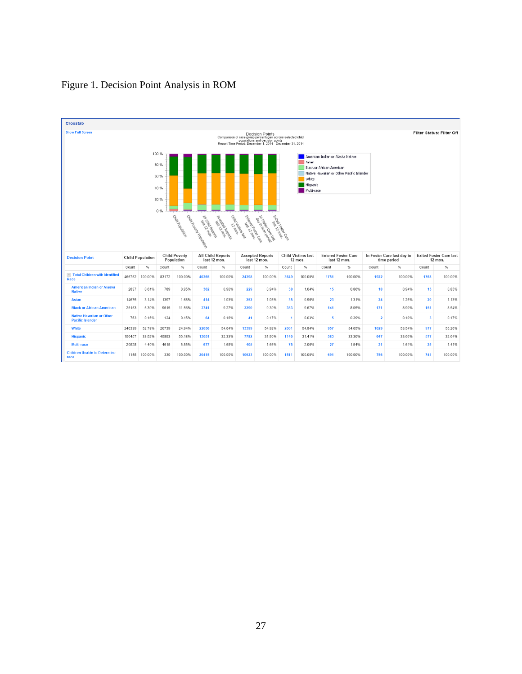

### Figure 1. Decision Point Analysis in ROM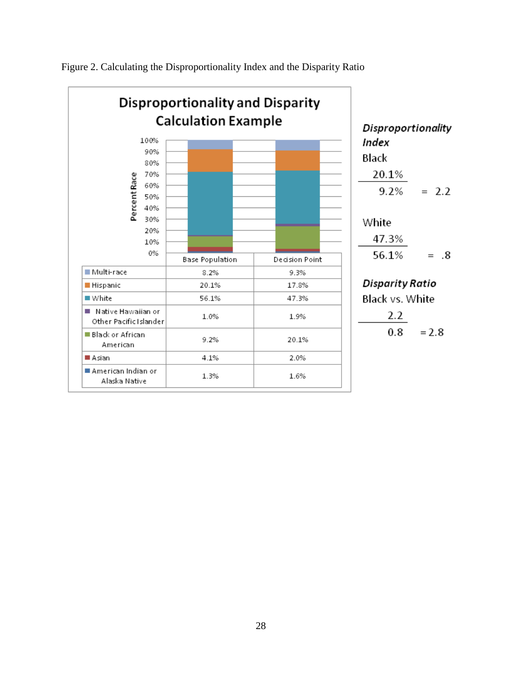

Figure 2. Calculating the Disproportionality Index and the Disparity Ratio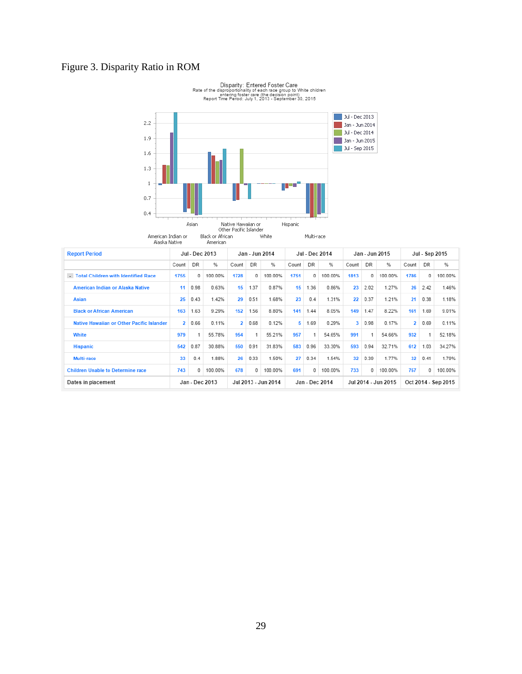# Figure 3. Disparity Ratio in ROM



Disparity: Entered Foster Care<br>Rate of the disproportionality of each race group to White children<br>entering foster care (the decision point)<br>Report Time Period: July 1, 2013 - September 30, 2015

Black or African<br>American American Indian or<br>Alaska Native

| <b>Report Period</b>                      | Jul - Dec 2013 |           |         | Jan - Jun 2014      |           |         | Jul - Dec 2014 |           |         | Jan - Jun 2015      |           |         | Jul - Sep 2015      |           |         |
|-------------------------------------------|----------------|-----------|---------|---------------------|-----------|---------|----------------|-----------|---------|---------------------|-----------|---------|---------------------|-----------|---------|
|                                           | Count          | <b>DR</b> | %       | Count               | <b>DR</b> | %       | Count          | <b>DR</b> | %       | Count               | <b>DR</b> | %       | Count               | <b>DR</b> | %       |
| - Total Children with Identified Race     | 1755           | 0         | 100.00% | 1728                | 0         | 100.00% | 1751           | $\Omega$  | 100.00% | 1813                | 0         | 100.00% | 1786                | 0         | 100.00% |
| American Indian or Alaska Native          | 11             | 0.98      | 0.63%   | 15                  | 1.37      | 0.87%   | 15             | 1.36      | 0.86%   | 23                  | 2.02      | 1.27%   | 26                  | 2.42      | 1.46%   |
| Asian                                     | 25             | 0.43      | 1.42%   | 29                  | 0.51      | 1.68%   | 23             | 0.4       | 1.31%   | 22                  | 0.37      | 1.21%   | 21                  | 0.38      | 1.18%   |
| <b>Black or African American</b>          | 163            | 1.63      | 9.29%   | 152                 | 1.56      | 8.80%   | 141            | 1.44      | 8.05%   | 149                 | 1.47      | 8.22%   | 161                 | 1.69      | 9.01%   |
| Native Hawaiian or Other Pacific Islander | $\overline{2}$ | 0.66      | 0.11%   | $\mathbf{2}$        | 0.68      | 0.12%   | 5              | 1.69      | 0.29%   | 3                   | 0.98      | 0.17%   | $\overline{2}$      | 0.69      | 0.11%   |
| White                                     | 979            | 1         | 55.78%  | 954                 | 1         | 55.21%  | 957            |           | 54.65%  | 991                 |           | 54.66%  | 932                 |           | 52.18%  |
| <b>Hispanic</b>                           | 542            | 0.87      | 30.88%  | 550                 | 0.91      | 31.83%  | 583            | 0.96      | 33.30%  | 593                 | 0.94      | 32.71%  | 612                 | 1.03      | 34.27%  |
| Multi-race                                | 33             | 0.4       | 1.88%   | 26                  | 0.33      | 1.50%   | 27             | 0.34      | 1.54%   | 32                  | 0.39      | 1.77%   | 32                  | 0.41      | 1.79%   |
| <b>Children Unable to Determine race</b>  | 743            | 0         | 100.00% | 678                 | 0         | 100.00% | 691            | 0         | 100.00% | 733                 | 0         | 100.00% | 757                 | $\Omega$  | 100.00% |
| Dates in placement                        | Jan - Dec 2013 |           |         | Jul 2013 - Jun 2014 |           |         | Jan - Dec 2014 |           |         | Jul 2014 - Jun 2015 |           |         | Oct 2014 - Sep 2015 |           |         |